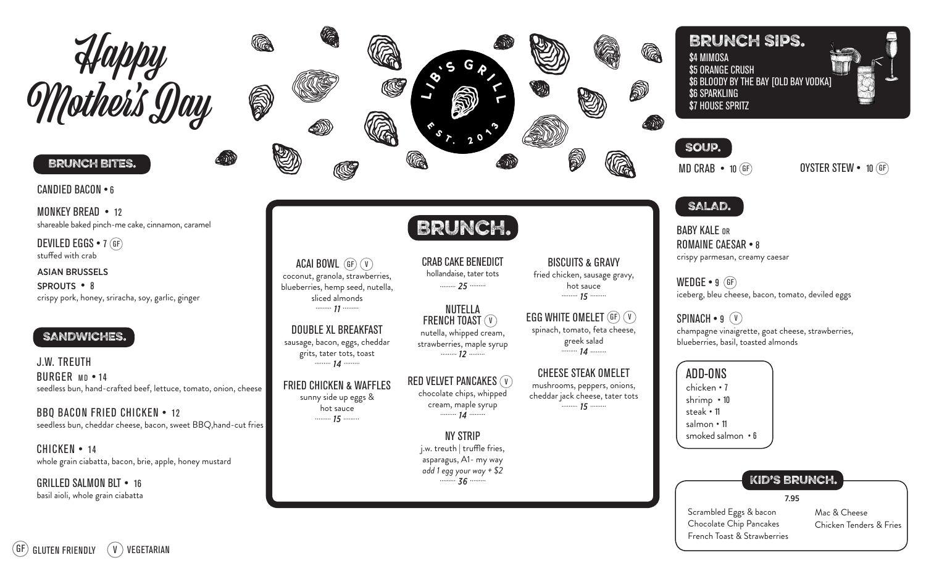